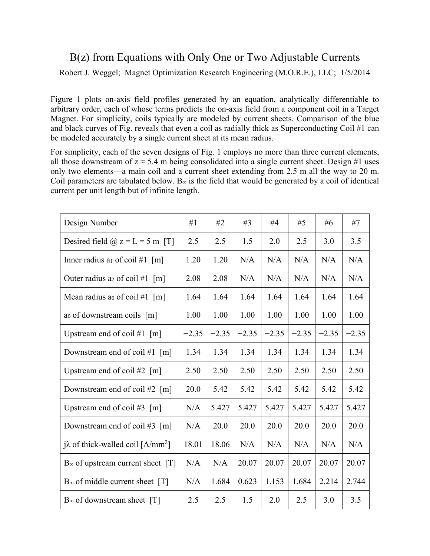## B(z) from Equations with Only One or Two Adjustable Currents Robert J. Weggel; Magnet Optimization Research Engineering (M.O.R.E.), LLC; 1/5/2014

Figure 1 plots on-axis field profiles generated by an equation, analytically differentiable to arbitrary order, each of whose terms predicts the on-axis field from a component coil in a Target Magnet. For simplicity, coils typically are modeled by current sheets. Comparison of the blue and black curves of Fig. reveals that even a coil as radially thick as Superconducting Coil #1 can be modeled accurately by a single current sheet at its mean radius.

For simplicity, each of the seven designs of Fig. 1 employs no more than three current elements, all those downstream of  $z \approx 5.4$  m being consolidated into a single current sheet. Design #1 uses only two elements—a main coil and a current sheet extending from 2.5 m all the way to 20 m. Coil parameters are tabulated below. B∞ is the field that would be generated by a coil of identical current per unit length but of infinite length.

| Design Number                                        | #1      | #2      | #3      | #4      | #5      | #6      | #7      |
|------------------------------------------------------|---------|---------|---------|---------|---------|---------|---------|
| Desired field $\omega$ z = L = 5 m [T]               | 2.5     | 2.5     | 1.5     | 2.0     | 2.5     | 3.0     | 3.5     |
| Inner radius a <sub>1</sub> of coil #1 $[m]$         | 1.20    | 1.20    | N/A     | N/A     | N/A     | N/A     | N/A     |
| Outer radius as of coil #1 $[m]$                     | 2.08    | 2.08    | N/A     | N/A     | N/A     | N/A     | N/A     |
| Mean radius ao of coil #1 $\lceil m \rceil$          | 1.64    | 1.64    | 1.64    | 1.64    | 1.64    | 1.64    | 1.64    |
| ao of downstream coils [m]                           | 1.00    | 1.00    | 1.00    | 1.00    | 1.00    | 1.00    | 1.00    |
| Upstream end of coil #1 $[m]$                        | $-2.35$ | $-2.35$ | $-2.35$ | $-2.35$ | $-2.35$ | $-2.35$ | $-2.35$ |
| Downstream end of coil #1 $[m]$                      | 1.34    | 1.34    | 1.34    | 1.34    | 1.34    | 1.34    | 1.34    |
| Upstream end of coil #2 $[m]$                        | 2.50    | 2.50    | 2.50    | 2.50    | 2.50    | 2.50    | 2.50    |
| Downstream end of coil #2 $\lceil m \rceil$          | 20.0    | 5.42    | 5.42    | 5.42    | 5.42    | 5.42    | 5.42    |
| Upstream end of coil #3 $[m]$                        | N/A     | 5.427   | 5.427   | 5.427   | 5.427   | 5.427   | 5.427   |
| Downstream end of coil #3 $[m]$                      | N/A     | 20.0    | 20.0    | 20.0    | 20.0    | 20.0    | 20.0    |
| $i\lambda$ of thick-walled coil [A/mm <sup>2</sup> ] | 18.01   | 18.06   | N/A     | N/A     | N/A     | N/A     | N/A     |
| $B_{\infty}$ of upstream current sheet [T]           | N/A     | N/A     | 20.07   | 20.07   | 20.07   | 20.07   | 20.07   |
| $B_{\infty}$ of middle current sheet [T]             | N/A     | 1.684   | 0.623   | 1.153   | 1.684   | 2.214   | 2.744   |
| $B_{\infty}$ of downstream sheet [T]                 | 2.5     | 2.5     | 1.5     | 2.0     | 2.5     | 3.0     | 3.5     |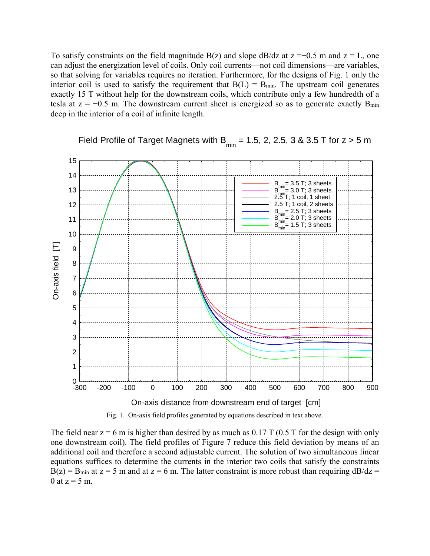To satisfy constraints on the field magnitude B(z) and slope dB/dz at  $z = -0.5$  m and  $z = L$ , one can adjust the energization level of coils. Only coil currents—not coil dimensions—are variables, so that solving for variables requires no iteration. Furthermore, for the designs of Fig. 1 only the interior coil is used to satisfy the requirement that  $B(L) = B_{min}$ . The upstream coil generates exactly 15 T without help for the downstream coils, which contribute only a few hundredth of a tesla at  $z = -0.5$  m. The downstream current sheet is energized so as to generate exactly  $B_{min}$ deep in the interior of a coil of infinite length.



Field Profile of Target Magnets with B<sub>min</sub> = 1.5, 2, 2.5, 3 & 3.5 T for  $z > 5$  m

Fig. 1. On-axis field profiles generated by equations described in text above.

The field near  $z = 6$  m is higher than desired by as much as 0.17 T (0.5 T for the design with only one downstream coil). The field profiles of Figure 7 reduce this field deviation by means of an additional coil and therefore a second adjustable current. The solution of two simultaneous linear equations suffices to determine the currents in the interior two coils that satisfy the constraints  $B(z) = B_{min}$  at  $z = 5$  m and at  $z = 6$  m. The latter constraint is more robust than requiring  $dB/dz =$ 0 at  $z = 5$  m.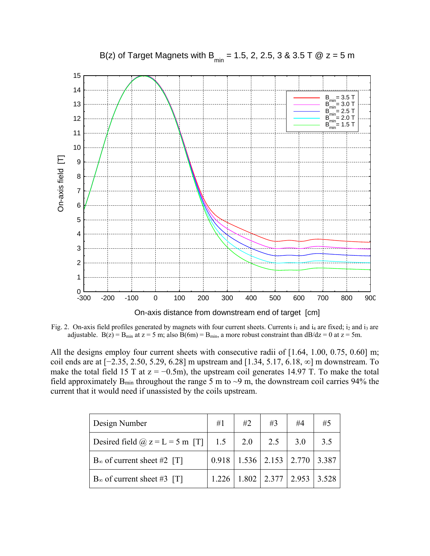

B(z) of Target Magnets with B<sub>min</sub> = 1.5, 2, 2.5, 3 & 3.5 T @  $z = 5$  m

Fig. 2. On-axis field profiles generated by magnets with four current sheets. Currents  $i_1$  and  $i_4$  are fixed;  $i_2$  and  $i_3$  are adjustable. B(z) = B<sub>min</sub> at z = 5 m; also B(6m) = B<sub>min</sub>, a more robust constraint than dB/dz = 0 at z = 5m.

All the designs employ four current sheets with consecutive radii of [1.64, 1.00, 0.75, 0.60] m; coil ends are at [−2.35, 2.50, 5.29, 6.28] m upstream and [1.34, 5.17, 6.18, ∞] m downstream. To make the total field 15 T at  $z = -0.5$ m), the upstream coil generates 14.97 T. To make the total field approximately  $B_{\text{min}}$  throughout the range 5 m to  $\sim$ 9 m, the downstream coil carries 94% the current that it would need if unassisted by the coils upstream.

| Design Number                          | #1    | #2  | #3  | #4                      | #5    |
|----------------------------------------|-------|-----|-----|-------------------------|-------|
| Desired field $\omega$ z = L = 5 m [T] | 1.5   | 2.0 | 2.5 | 3.0                     | 3.5   |
| $B_{\infty}$ of current sheet #2 [T]   | 0.918 |     |     | $1.536$   2.153   2.770 | 3.387 |
| $B_{\infty}$ of current sheet #3 [T]   | 1.226 |     |     | $1.802$   2.377   2.953 | 3.528 |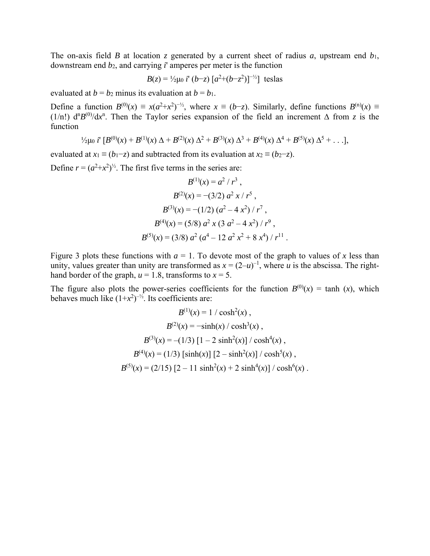The on-axis field *B* at location *z* generated by a current sheet of radius *a*, upstream end *b*1, downstream end *b*2, and carrying *i*' amperes per meter is the function

$$
B(z) = \frac{1}{2}\mu_0 i' (b-z) [a^2 + (b-z^2)]^{-1/2}
$$
teslas

evaluated at  $b = b_2$  minus its evaluation at  $b = b_1$ .

Define a function  $B^{(0)}(x) \equiv x(a^2+x^2)^{-1/2}$ , where  $x \equiv (b-z)$ . Similarly, define functions  $B^{(n)}(x) \equiv$ (1/n!)  $d^nB^{(0)}/dx^n$ . Then the Taylor series expansion of the field an increment  $\Delta$  from *z* is the function

$$
\frac{1}{2}\mu_0 i^{\mathsf{T}}\left[B^{(0)}(x) + B^{(1)}(x) \Delta + B^{(2)}(x) \Delta^2 + B^{(3)}(x) \Delta^3 + B^{(4)}(x) \Delta^4 + B^{(5)}(x) \Delta^5 + \ldots\right],
$$

evaluated at  $x_1 \equiv (b_1 - z)$  and subtracted from its evaluation at  $x_2 \equiv (b_2 - z)$ .

Define  $r = (a^2 + x^2)^{1/2}$ . The first five terms in the series are:

$$
B^{(1)}(x) = a^2 / r^3,
$$
  
\n
$$
B^{(2)}(x) = -(3/2) a^2 x / r^5,
$$
  
\n
$$
B^{(3)}(x) = -(1/2) (a^2 - 4 x^2) / r^7,
$$
  
\n
$$
B^{(4)}(x) = (5/8) a^2 x (3 a^2 - 4 x^2) / r^9,
$$
  
\n
$$
B^{(5)}(x) = (3/8) a^2 (a^4 - 12 a^2 x^2 + 8 x^4) / r^{11}.
$$

Figure 3 plots these functions with  $a = 1$ . To devote most of the graph to values of x less than unity, values greater than unity are transformed as  $x = (2-u)^{-1}$ , where *u* is the abscissa. The righthand border of the graph,  $u = 1.8$ , transforms to  $x = 5$ .

The figure also plots the power-series coefficients for the function  $B^{(0)}(x) = \tanh(x)$ , which behaves much like  $(1+x^2)^{-1/2}$ . Its coefficients are:

$$
B^{(1)}(x) = 1 / \cosh^{2}(x),
$$
  
\n
$$
B^{(2)}(x) = -\sinh(x) / \cosh^{3}(x),
$$
  
\n
$$
B^{(3)}(x) = -(1/3) [1 - 2 \sinh^{2}(x)] / \cosh^{4}(x),
$$
  
\n
$$
B^{(4)}(x) = (1/3) [\sinh(x)] [2 - \sinh^{2}(x)] / \cosh^{5}(x),
$$
  
\n
$$
B^{(5)}(x) = (2/15) [2 - 11 \sinh^{2}(x) + 2 \sinh^{4}(x)] / \cosh^{6}(x).
$$